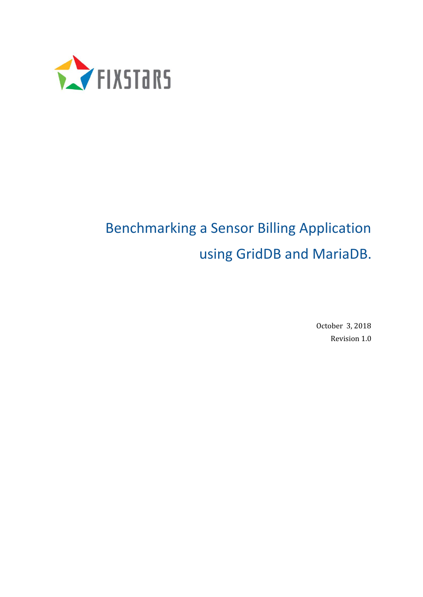

# Benchmarking a Sensor Billing Application using GridDB and MariaDB.

October 3, 2018 Revision 1.0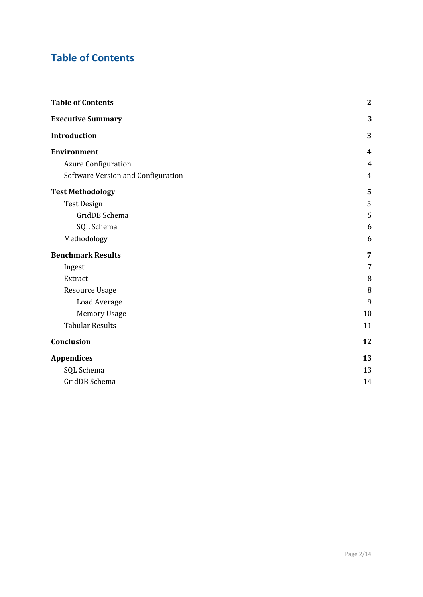# <span id="page-1-0"></span>**Table of Contents**

| <b>Table of Contents</b>           | $\boldsymbol{2}$ |
|------------------------------------|------------------|
| <b>Executive Summary</b>           | 3                |
| Introduction                       | 3                |
| <b>Environment</b>                 | 4                |
| <b>Azure Configuration</b>         | 4                |
| Software Version and Configuration | 4                |
| <b>Test Methodology</b>            | 5                |
| <b>Test Design</b>                 | 5                |
| GridDB Schema                      | 5                |
| SQL Schema                         | 6                |
| Methodology                        | 6                |
| <b>Benchmark Results</b>           | 7                |
| Ingest                             | 7                |
| Extract                            | 8                |
| <b>Resource Usage</b>              | 8                |
| Load Average                       | 9                |
| <b>Memory Usage</b>                | 10               |
| <b>Tabular Results</b>             | 11               |
| Conclusion                         | 12               |
| <b>Appendices</b>                  | 13               |
| SQL Schema                         | 13               |
| GridDB Schema                      | 14               |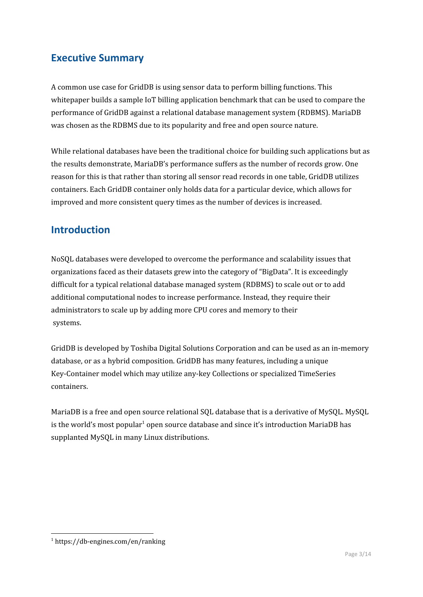### <span id="page-2-0"></span>**Executive Summary**

A common use case for GridDB is using sensor data to perform billing functions. This whitepaper builds a sample IoT billing application benchmark that can be used to compare the performance of GridDB against a relational database management system (RDBMS). MariaDB was chosen as the RDBMS due to its popularity and free and open source nature.

While relational databases have been the traditional choice for building such applications but as the results demonstrate, MariaDB's performance suffers as the number of records grow. One reason for this is that rather than storing all sensor read records in one table, GridDB utilizes containers. Each GridDB container only holds data for a particular device, which allows for improved and more consistent query times as the number of devices is increased.

# <span id="page-2-1"></span>**Introduction**

NoSQL databases were developed to overcome the performance and scalability issues that organizations faced as their datasets grew into the category of "BigData". It is exceedingly difficult for a typical relational database managed system (RDBMS) to scale out or to add additional computational nodes to increase performance. Instead, they require their administrators to scale up by adding more CPU cores and memory to their systems.

GridDB is developed by Toshiba Digital Solutions Corporation and can be used as an in-memory database, or as a hybrid composition. GridDB has many features, including a unique Key-Container model which may utilize any-key Collections or specialized TimeSeries containers.

MariaDB is a free and open source relational SQL database that is a derivative of MySQL. MySQL is the world's most popular $^{\rm 1}$  open source database and since it's introduction MariaDB has supplanted MySQL in many Linux distributions.

<sup>1</sup> https://db-engines.com/en/ranking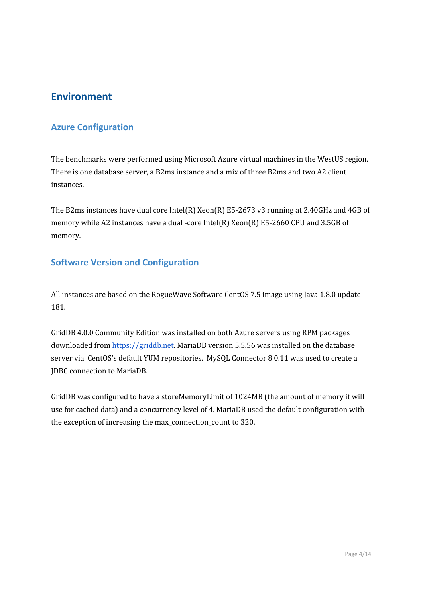### <span id="page-3-0"></span>**Environment**

### <span id="page-3-1"></span>**Azure Configuration**

The benchmarks were performed using Microsoft Azure virtual machines in the WestUS region. There is one database server, a B2ms instance and a mix of three B2ms and two A2 client instances.

The B2ms instances have dual core Intel(R) Xeon(R) E5-2673 v3 running at 2.40GHz and 4GB of memory while A2 instances have a dual -core Intel(R) Xeon(R) E5-2660 CPU and 3.5GB of memory.

### <span id="page-3-2"></span>**Software Version and Configuration**

All instances are based on the RogueWave Software CentOS 7.5 image using Java 1.8.0 update 181.

GridDB 4.0.0 Community Edition was installed on both Azure servers using RPM packages downloaded from [https://griddb.net.](http://griddb.net/) MariaDB version 5.5.56 was installed on the database server via CentOS's default YUM repositories. MySQL Connector 8.0.11 was used to create a JDBC connection to MariaDB.

GridDB was configured to have a storeMemoryLimit of 1024MB (the amount of memory it will use for cached data) and a concurrency level of 4. MariaDB used the default configuration with the exception of increasing the max\_connection\_count to 320.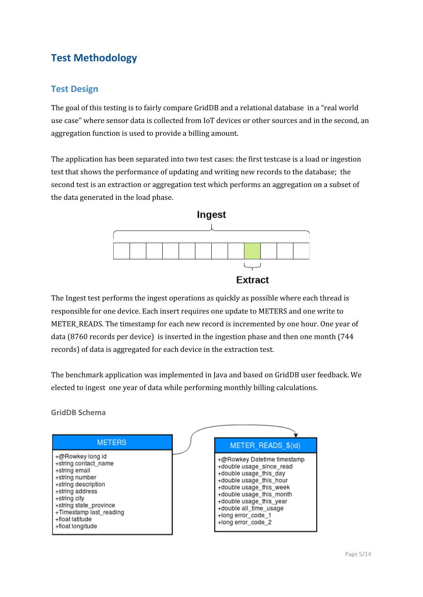# <span id="page-4-0"></span>**Test Methodology**

### <span id="page-4-1"></span>**Test Design**

The goal of this testing is to fairly compare GridDB and a relational database in a "real world use case" where sensor data is collected from IoT devices or other sources and in the second, an aggregation function is used to provide a billing amount.

The application has been separated into two test cases: the first testcase is a load or ingestion test that shows the performance of updating and writing new records to the database; the second test is an extraction or aggregation test which performs an aggregation on a subset of the data generated in the load phase.



The Ingest test performs the ingest operations as quickly as possible where each thread is responsible for one device. Each insert requires one update to METERS and one write to METER\_READS. The timestamp for each new record is incremented by one hour. One year of data (8760 records per device) is inserted in the ingestion phase and then one month (744 records) of data is aggregated for each device in the extraction test.

The benchmark application was implemented in Java and based on GridDB user feedback. We elected to ingest one year of data while performing monthly billing calculations.

#### <span id="page-4-2"></span>**GridDB Schema**

| <b>METERS</b>                                                                                                                                                                                                                     | METER READS \$(id)                                                                                                                                                                                                                                                   |
|-----------------------------------------------------------------------------------------------------------------------------------------------------------------------------------------------------------------------------------|----------------------------------------------------------------------------------------------------------------------------------------------------------------------------------------------------------------------------------------------------------------------|
| +@Rowkey long id<br>+string contact_name<br>+string email<br>+string number<br>+string description<br>+string address<br>+string city<br>+string state_province<br>+Timestamp last_reading<br>+float latitude<br>+float longitude | +@Rowkey Datetime timestamp<br>+double usage_since_read<br>+double usage_this_day<br>+double usage_this_hour<br>+double usage_this_week<br>+double usage_this_month<br>+double usage_this_year<br>+double all_time_usage<br>+long error_code_1<br>+long error_code_2 |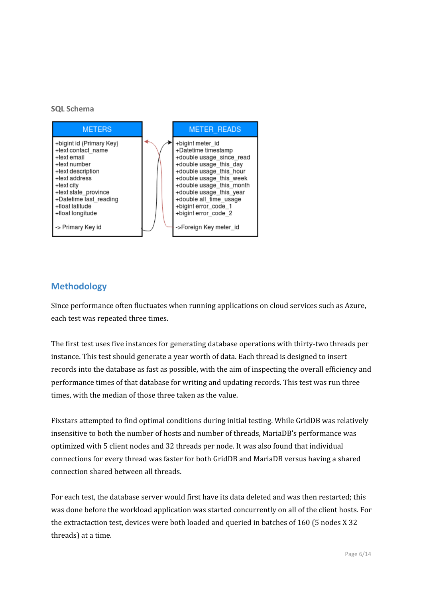#### <span id="page-5-0"></span>**SQL Schema**



### <span id="page-5-1"></span>**Methodology**

Since performance often fluctuates when running applications on cloud services such as Azure, each test was repeated three times.

The first test uses five instances for generating database operations with thirty-two threads per instance. This test should generate a year worth of data. Each thread is designed to insert records into the database as fast as possible, with the aim of inspecting the overall efficiency and performance times of that database for writing and updating records. This test was run three times, with the median of those three taken as the value.

Fixstars attempted to find optimal conditions during initial testing. While GridDB was relatively insensitive to both the number of hosts and number of threads, MariaDB's performance was optimized with 5 client nodes and 32 threads per node. It was also found that individual connections for every thread was faster for both GridDB and MariaDB versus having a shared connection shared between all threads.

For each test, the database server would first have its data deleted and was then restarted; this was done before the workload application was started concurrently on all of the client hosts. For the extractaction test, devices were both loaded and queried in batches of 160 (5 nodes X 32 threads) at a time.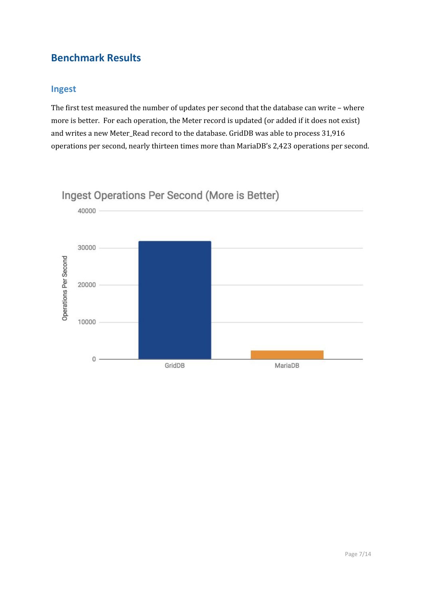### **Benchmark Results**

### <span id="page-6-0"></span>**Ingest**

The first test measured the number of updates per second that the database can write – where more is better. For each operation, the Meter record is updated (or added if it does not exist) and writes a new Meter\_Read record to the database. GridDB was able to process 31,916 operations per second, nearly thirteen times more than MariaDB's 2,423 operations per second.



# Ingest Operations Per Second (More is Better)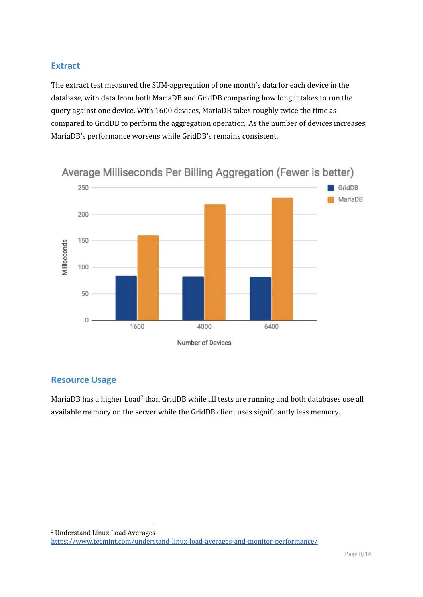### <span id="page-7-0"></span>**Extract**

The extract test measured the SUM-aggregation of one month's data for each device in the database, with data from both MariaDB and GridDB comparing how long it takes to run the query against one device. With 1600 devices, MariaDB takes roughly twice the time as compared to GridDB to perform the aggregation operation. As the number of devices increases, MariaDB's performance worsens while GridDB's remains consistent.



Average Milliseconds Per Billing Aggregation (Fewer is better)

### <span id="page-7-1"></span>**Resource Usage**

MariaDB has a higher Load<sup>2</sup> than GridDB while all tests are running and both databases use all available memory on the server while the GridDB client uses significantly less memory.

<sup>2</sup> Understand Linux Load Averages

<https://www.tecmint.com/understand-linux-load-averages-and-monitor-performance/>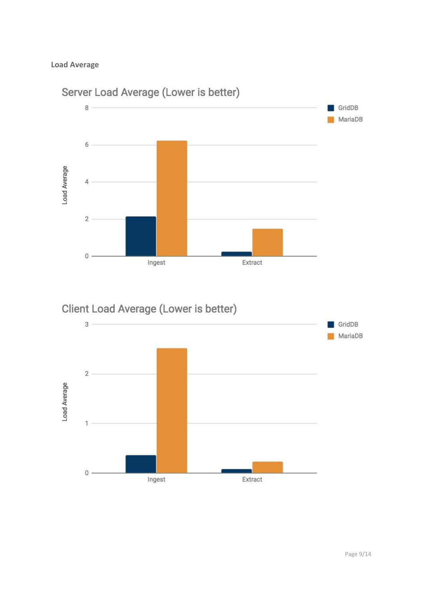#### <span id="page-8-0"></span>**Load Average**



# Client Load Average (Lower is better)

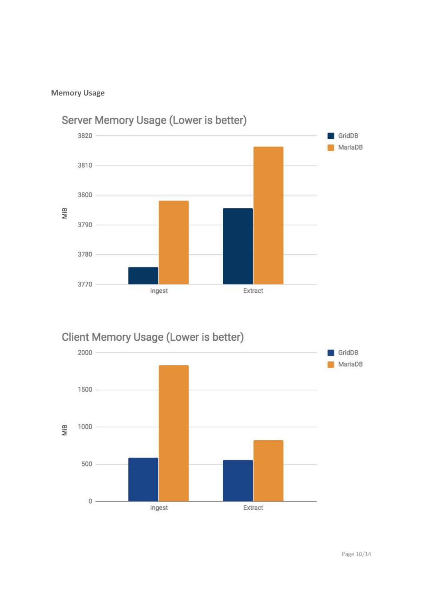#### <span id="page-9-0"></span>**Memory Usage**



# Client Memory Usage (Lower is better)

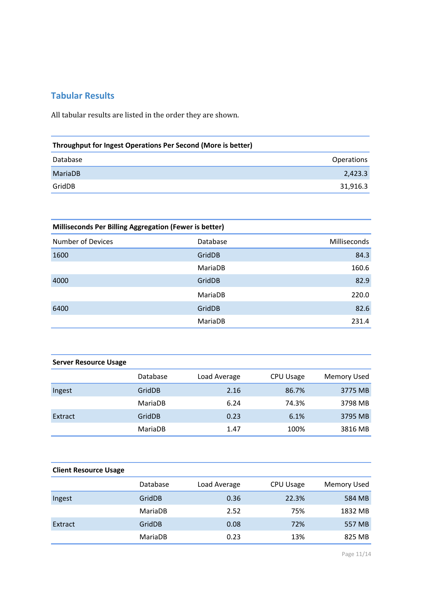### <span id="page-10-0"></span>**Tabular Results**

All tabular results are listed in the order they are shown.

| Throughput for Ingest Operations Per Second (More is better) |  |  |
|--------------------------------------------------------------|--|--|
| <b>Operations</b>                                            |  |  |
| 2,423.3                                                      |  |  |
| 31,916.3                                                     |  |  |
|                                                              |  |  |

| <b>Milliseconds Per Billing Aggregation (Fewer is better)</b> |          |                     |  |
|---------------------------------------------------------------|----------|---------------------|--|
| <b>Number of Devices</b>                                      | Database | <b>Milliseconds</b> |  |
| 1600                                                          | GridDB   | 84.3                |  |
|                                                               | MariaDB  | 160.6               |  |
| 4000                                                          | GridDB   | 82.9                |  |
|                                                               | MariaDB  | 220.0               |  |
| 6400                                                          | GridDB   | 82.6                |  |
|                                                               | MariaDB  | 231.4               |  |

| <b>Server Resource Usage</b> |          |              |           |                    |
|------------------------------|----------|--------------|-----------|--------------------|
|                              | Database | Load Average | CPU Usage | <b>Memory Used</b> |
| Ingest                       | GridDB   | 2.16         | 86.7%     | 3775 MB            |
|                              | MariaDB  | 6.24         | 74.3%     | 3798 MB            |
| Extract                      | GridDB   | 0.23         | 6.1%      | 3795 MB            |
|                              | MariaDB  | 1.47         | 100%      | 3816 MB            |

| <b>Client Resource Usage</b> |          |              |           |                    |
|------------------------------|----------|--------------|-----------|--------------------|
|                              | Database | Load Average | CPU Usage | <b>Memory Used</b> |
| Ingest                       | GridDB   | 0.36         | 22.3%     | 584 MB             |
|                              | MariaDB  | 2.52         | 75%       | 1832 MB            |
| Extract                      | GridDB   | 0.08         | 72%       | 557 MB             |
|                              | MariaDB  | 0.23         | 13%       | 825 MB             |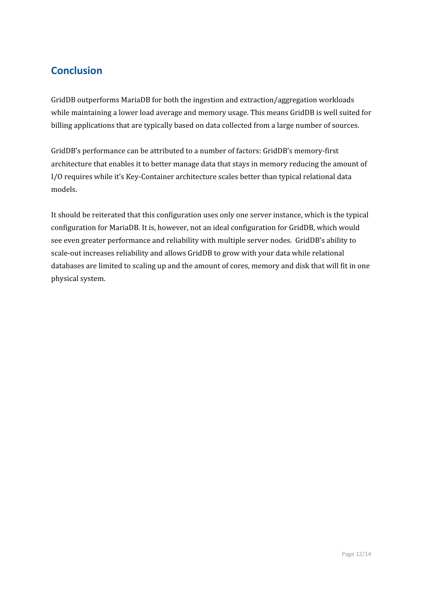# <span id="page-11-0"></span>**Conclusion**

GridDB outperforms MariaDB for both the ingestion and extraction/aggregation workloads while maintaining a lower load average and memory usage. This means GridDB is well suited for billing applications that are typically based on data collected from a large number of sources.

GridDB's performance can be attributed to a number of factors: GridDB's memory-first architecture that enables it to better manage data that stays in memory reducing the amount of I/O requires while it's Key-Container architecture scales better than typical relational data models.

It should be reiterated that this configuration uses only one server instance, which is the typical configuration for MariaDB. It is, however, not an ideal configuration for GridDB, which would see even greater performance and reliability with multiple server nodes. GridDB's ability to scale-out increases reliability and allows GridDB to grow with your data while relational databases are limited to scaling up and the amount of cores, memory and disk that will fit in one physical system.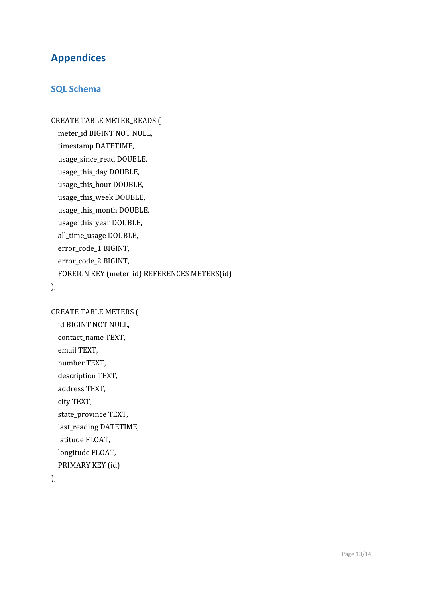# <span id="page-12-0"></span>**Appendices**

### <span id="page-12-1"></span>**SQL Schema**

CREATE TABLE METER\_READS ( meter\_id BIGINT NOT NULL, timestamp DATETIME, usage\_since\_read DOUBLE, usage\_this\_day DOUBLE, usage\_this\_hour DOUBLE, usage\_this\_week DOUBLE, usage\_this\_month DOUBLE, usage\_this\_year DOUBLE, all\_time\_usage DOUBLE, error\_code\_1 BIGINT, error\_code\_2 BIGINT, FOREIGN KEY (meter\_id) REFERENCES METERS(id)

);

CREATE TABLE METERS (

id BIGINT NOT NULL, contact\_name TEXT, email TEXT, number TEXT, description TEXT, address TEXT, city TEXT, state\_province TEXT, last\_reading DATETIME, latitude FLOAT, longitude FLOAT, PRIMARY KEY (id)

);